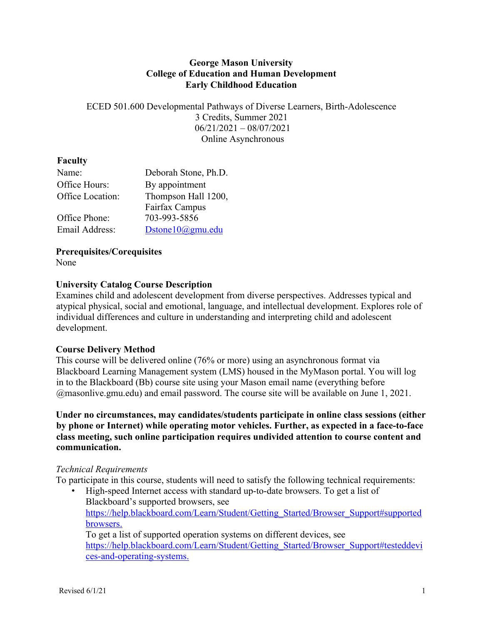#### **George Mason University College of Education and Human Development Early Childhood Education**

ECED 501.600 Developmental Pathways of Diverse Learners, Birth-Adolescence 3 Credits, Summer 2021 06/21/2021 – 08/07/2021 Online Asynchronous

# **Faculty**

| Name:            | Deborah Stone, Ph.D.        |
|------------------|-----------------------------|
| Office Hours:    | By appointment              |
| Office Location: | Thompson Hall 1200,         |
|                  | Fairfax Campus              |
| Office Phone:    | 703-993-5856                |
| Email Address:   | Dstone $10$ ( $a$ ) gmu.edu |

**Prerequisites/Corequisites** 

None

# **University Catalog Course Description**

Examines child and adolescent development from diverse perspectives. Addresses typical and atypical physical, social and emotional, language, and intellectual development. Explores role of individual differences and culture in understanding and interpreting child and adolescent development.

# **Course Delivery Method**

This course will be delivered online (76% or more) using an asynchronous format via Blackboard Learning Management system (LMS) housed in the MyMason portal. You will log in to the Blackboard (Bb) course site using your Mason email name (everything before @masonlive.gmu.edu) and email password. The course site will be available on June 1, 2021.

**Under no circumstances, may candidates/students participate in online class sessions (either by phone or Internet) while operating motor vehicles. Further, as expected in a face-to-face class meeting, such online participation requires undivided attention to course content and communication.** 

# *Technical Requirements*

To participate in this course, students will need to satisfy the following technical requirements:

• High-speed Internet access with standard up-to-date browsers. To get a list of Blackboard's supported browsers, see https://help.blackboard.com/Learn/Student/Getting\_Started/Browser\_Support#supported browsers. To get a list of supported operation systems on different devices, see

https://help.blackboard.com/Learn/Student/Getting\_Started/Browser\_Support#testeddevi ces-and-operating-systems.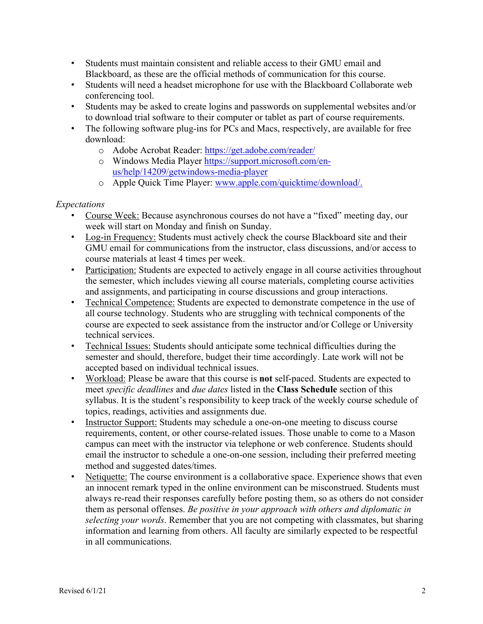- Students must maintain consistent and reliable access to their GMU email and Blackboard, as these are the official methods of communication for this course.
- Students will need a headset microphone for use with the Blackboard Collaborate web conferencing tool.
- Students may be asked to create logins and passwords on supplemental websites and/or to download trial software to their computer or tablet as part of course requirements.
- The following software plug-ins for PCs and Macs, respectively, are available for free download:
	- o Adobe Acrobat Reader: https://get.adobe.com/reader/
	- o Windows Media Player https://support.microsoft.com/enus/help/14209/getwindows-media-player
	- o Apple Quick Time Player: www.apple.com/quicktime/download/.

#### *Expectations*

- Course Week: Because asynchronous courses do not have a "fixed" meeting day, our week will start on Monday and finish on Sunday.
- Log-in Frequency: Students must actively check the course Blackboard site and their GMU email for communications from the instructor, class discussions, and/or access to course materials at least 4 times per week.
- Participation: Students are expected to actively engage in all course activities throughout the semester, which includes viewing all course materials, completing course activities and assignments, and participating in course discussions and group interactions.
- Technical Competence: Students are expected to demonstrate competence in the use of all course technology. Students who are struggling with technical components of the course are expected to seek assistance from the instructor and/or College or University technical services.
- Technical Issues: Students should anticipate some technical difficulties during the semester and should, therefore, budget their time accordingly. Late work will not be accepted based on individual technical issues.
- Workload: Please be aware that this course is **not** self-paced. Students are expected to meet *specific deadlines* and *due dates* listed in the **Class Schedule** section of this syllabus. It is the student's responsibility to keep track of the weekly course schedule of topics, readings, activities and assignments due.
- Instructor Support: Students may schedule a one-on-one meeting to discuss course requirements, content, or other course-related issues. Those unable to come to a Mason campus can meet with the instructor via telephone or web conference. Students should email the instructor to schedule a one-on-one session, including their preferred meeting method and suggested dates/times.
- Netiquette: The course environment is a collaborative space. Experience shows that even an innocent remark typed in the online environment can be misconstrued. Students must always re-read their responses carefully before posting them, so as others do not consider them as personal offenses. *Be positive in your approach with others and diplomatic in selecting your words*. Remember that you are not competing with classmates, but sharing information and learning from others. All faculty are similarly expected to be respectful in all communications.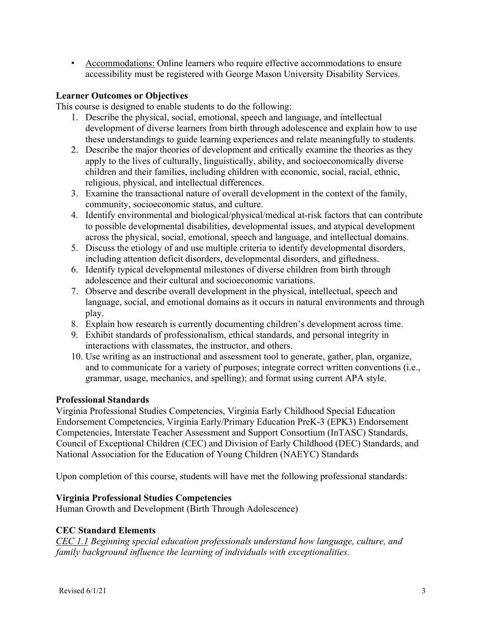• Accommodations: Online learners who require effective accommodations to ensure accessibility must be registered with George Mason University Disability Services.

# **Learner Outcomes or Objectives**

This course is designed to enable students to do the following:

- 1. Describe the physical, social, emotional, speech and language, and intellectual development of diverse learners from birth through adolescence and explain how to use these understandings to guide learning experiences and relate meaningfully to students.
- 2. Describe the major theories of development and critically examine the theories as they apply to the lives of culturally, linguistically, ability, and socioeconomically diverse children and their families, including children with economic, social, racial, ethnic, religious, physical, and intellectual differences.
- 3. Examine the transactional nature of overall development in the context of the family, community, socioeconomic status, and culture.
- 4. Identify environmental and biological/physical/medical at-risk factors that can contribute to possible developmental disabilities, developmental issues, and atypical development across the physical, social, emotional, speech and language, and intellectual domains.
- 5. Discuss the etiology of and use multiple criteria to identify developmental disorders, including attention deficit disorders, developmental disorders, and giftedness.
- 6. Identify typical developmental milestones of diverse children from birth through adolescence and their cultural and socioeconomic variations.
- 7. Observe and describe overall development in the physical, intellectual, speech and language, social, and emotional domains as it occurs in natural environments and through play.
- 8. Explain how research is currently documenting children's development across time.
- 9. Exhibit standards of professionalism, ethical standards, and personal integrity in interactions with classmates, the instructor, and others.
- 10. Use writing as an instructional and assessment tool to generate, gather, plan, organize, and to communicate for a variety of purposes; integrate correct written conventions (i.e., grammar, usage, mechanics, and spelling); and format using current APA style.

# **Professional Standards**

Virginia Professional Studies Competencies, Virginia Early Childhood Special Education Endorsement Competencies, Virginia Early/Primary Education PreK-3 (EPK3) Endorsement Competencies, Interstate Teacher Assessment and Support Consortium (InTASC) Standards, Council of Exceptional Children (CEC) and Division of Early Childhood (DEC) Standards, and National Association for the Education of Young Children (NAEYC) Standards

Upon completion of this course, students will have met the following professional standards:

# **Virginia Professional Studies Competencies**

Human Growth and Development (Birth Through Adolescence)

# **CEC Standard Elements**

*CEC 1.1 Beginning special education professionals understand how language, culture, and family background influence the learning of individuals with exceptionalities.*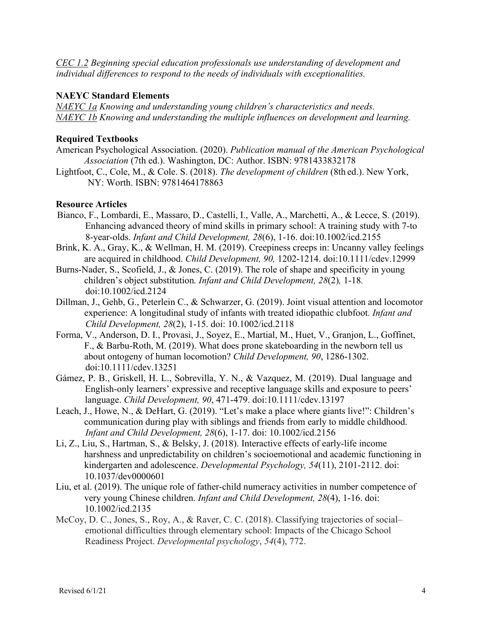*CEC 1.2 Beginning special education professionals use understanding of development and individual differences to respond to the needs of individuals with exceptionalities.* 

#### **NAEYC Standard Elements**

*NAEYC 1a Knowing and understanding young children's characteristics and needs. NAEYC 1b Knowing and understanding the multiple influences on development and learning.*

#### **Required Textbooks**

- American Psychological Association. (2020). *Publication manual of the American Psychological Association* (7th ed.). Washington, DC: Author. ISBN: 9781433832178
- Lightfoot, C., Cole, M., & Cole. S. (2018). *The development of children* (8th ed.). New York, NY: Worth. ISBN: 9781464178863

#### **Resource Articles**

- Bianco, F., Lombardi, E., Massaro, D., Castelli, I., Valle, A., Marchetti, A., & Lecce, S. (2019). Enhancing advanced theory of mind skills in primary school: A training study with 7-to 8-year-olds. *Infant and Child Development, 28*(6), 1-16. doi:10.1002/icd.2155
- Brink, K. A., Gray, K., & Wellman, H. M. (2019). Creepiness creeps in: Uncanny valley feelings are acquired in childhood. *Child Development, 90,* 1202-1214. doi:10.1111/cdev.12999
- Burns-Nader, S., Scofield, J., & Jones, C. (2019). The role of shape and specificity in young children's object substitution*. Infant and Child Development, 28*(2)*,* 1-18*.*  doi:10.1002/icd.2124
- Dillman, J., Gehb, G., Peterlein C., & Schwarzer, G. (2019). Joint visual attention and locomotor experience: A longitudinal study of infants with treated idiopathic clubfoot*. Infant and Child Development, 28*(2), 1-15. doi: 10.1002/icd.2118
- Forma, V., Anderson, D. I., Provasi, J., Soyez, E., Martial, M., Huet, V., Granjon, L., Goffinet, F., & Barbu-Roth, M. (2019). What does prone skateboarding in the newborn tell us about ontogeny of human locomotion? *Child Development, 90*, 1286-1302. doi:10.1111/cdev.13251
- Gámez, P. B., Griskell, H. L., Sobrevilla, Y. N., & Vazquez, M. (2019). Dual language and English-only learners' expressive and receptive language skills and exposure to peers' language. *Child Development, 90*, 471-479. doi:10.1111/cdev.13197
- Leach, J., Howe, N., & DeHart, G. (2019). "Let's make a place where giants live!": Children's communication during play with siblings and friends from early to middle childhood. *Infant and Child Development, 28*(6), 1-17. doi: 10.1002/icd.2156
- Li, Z., Liu, S., Hartman, S., & Belsky, J. (2018). Interactive effects of early-life income harshness and unpredictability on children's socioemotional and academic functioning in kindergarten and adolescence. *Developmental Psychology, 54*(11), 2101-2112. doi: 10.1037/dev0000601
- Liu, et al. (2019). The unique role of father-child numeracy activities in number competence of very young Chinese children. *Infant and Child Development, 28*(4), 1-16. doi: 10.1002/icd.2135
- McCoy, D. C., Jones, S., Roy, A., & Raver, C. C. (2018). Classifying trajectories of social– emotional difficulties through elementary school: Impacts of the Chicago School Readiness Project. *Developmental psychology*, *54*(4), 772.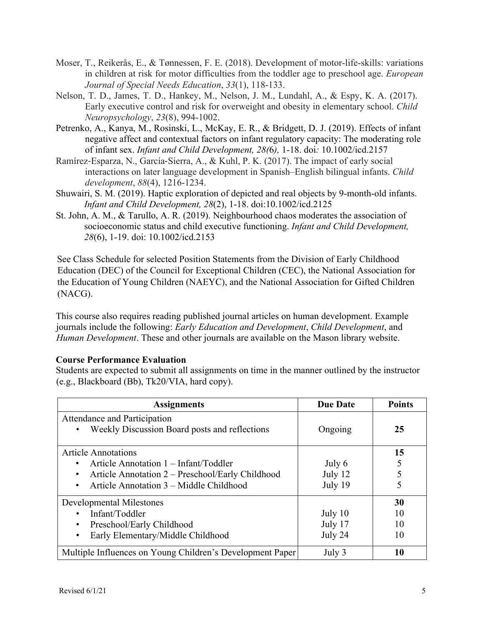- Moser, T., Reikerås, E., & Tønnessen, F. E. (2018). Development of motor-life-skills: variations in children at risk for motor difficulties from the toddler age to preschool age. *European Journal of Special Needs Education*, *33*(1), 118-133.
- Nelson, T. D., James, T. D., Hankey, M., Nelson, J. M., Lundahl, A., & Espy, K. A. (2017). Early executive control and risk for overweight and obesity in elementary school. *Child Neuropsychology*, *23*(8), 994-1002.
- Petrenko, A., Kanya, M., Rosinski, L., McKay, E. R., & Bridgett, D. J. (2019). Effects of infant negative affect and contextual factors on infant regulatory capacity: The moderating role of infant sex. *Infant and Child Development, 28(*6*),* 1-18. doi*:* 10.1002/icd.2157
- Ramírez-Esparza, N., García-Sierra, A., & Kuhl, P. K. (2017). The impact of early social interactions on later language development in Spanish–English bilingual infants. *Child development*, *88*(4), 1216-1234.
- Shuwairi, S. M. (2019). Haptic exploration of depicted and real objects by 9-month-old infants. *Infant and Child Development, 28*(2), 1-18. doi:10.1002/icd.2125
- St. John, A. M., & Tarullo, A. R. (2019). Neighbourhood chaos moderates the association of socioeconomic status and child executive functioning. *Infant and Child Development, 28*(6), 1-19. doi: 10.1002/icd.2153

See Class Schedule for selected Position Statements from the Division of Early Childhood Education (DEC) of the Council for Exceptional Children (CEC), the National Association for the Education of Young Children (NAEYC), and the National Association for Gifted Children (NACG).

This course also requires reading published journal articles on human development. Example journals include the following: *Early Education and Development*, *Child Development*, and *Human Development*. These and other journals are available on the Mason library website.

# **Course Performance Evaluation**

Students are expected to submit all assignments on time in the manner outlined by the instructor (e.g., Blackboard (Bb), Tk20/VIA, hard copy).

| <b>Assignments</b>                                                                                                                                                              | <b>Due Date</b>               | <b>Points</b>        |
|---------------------------------------------------------------------------------------------------------------------------------------------------------------------------------|-------------------------------|----------------------|
| Attendance and Participation<br>Weekly Discussion Board posts and reflections                                                                                                   | Ongoing                       | 25                   |
| <b>Article Annotations</b><br>Article Annotation 1 – Infant/Toddler<br>Article Annotation 2 – Preschool/Early Childhood<br>Article Annotation 3 – Middle Childhood<br>$\bullet$ | July 6<br>July 12<br>July 19  | 15                   |
| <b>Developmental Milestones</b><br>Infant/Toddler<br>Preschool/Early Childhood<br>Early Elementary/Middle Childhood<br>٠                                                        | July 10<br>July 17<br>July 24 | 30<br>10<br>10<br>10 |
| Multiple Influences on Young Children's Development Paper                                                                                                                       | July 3                        | 10                   |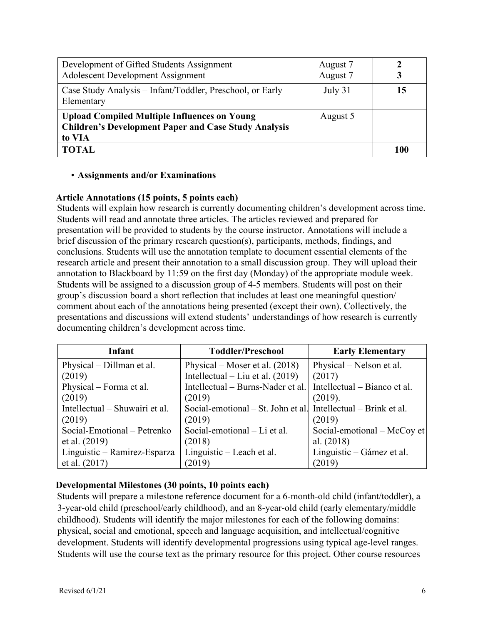| Development of Gifted Students Assignment<br><b>Adolescent Development Assignment</b>                                        | August 7<br>August 7 |     |
|------------------------------------------------------------------------------------------------------------------------------|----------------------|-----|
| Case Study Analysis – Infant/Toddler, Preschool, or Early<br>Elementary                                                      | July 31              | 15  |
| <b>Upload Compiled Multiple Influences on Young</b><br><b>Children's Development Paper and Case Study Analysis</b><br>to VIA | August 5             |     |
| <b>TOTAL</b>                                                                                                                 |                      | 100 |

# • **Assignments and/or Examinations**

# **Article Annotations (15 points, 5 points each)**

Students will explain how research is currently documenting children's development across time. Students will read and annotate three articles. The articles reviewed and prepared for presentation will be provided to students by the course instructor. Annotations will include a brief discussion of the primary research question(s), participants, methods, findings, and conclusions. Students will use the annotation template to document essential elements of the research article and present their annotation to a small discussion group. They will upload their annotation to Blackboard by 11:59 on the first day (Monday) of the appropriate module week. Students will be assigned to a discussion group of 4-5 members. Students will post on their group's discussion board a short reflection that includes at least one meaningful question/ comment about each of the annotations being presented (except their own). Collectively, the presentations and discussions will extend students' understandings of how research is currently documenting children's development across time.

| Infant                         | <b>Toddler/Preschool</b>                                       | <b>Early Elementary</b>      |
|--------------------------------|----------------------------------------------------------------|------------------------------|
| Physical – Dillman et al.      | Physical – Moser et al. $(2018)$                               | Physical – Nelson et al.     |
| (2019)                         | Intellectual – Liu et al. $(2019)$                             | (2017)                       |
| Physical – Forma et al.        | Intellectual – Burns-Nader et al.                              | Intellectual – Bianco et al. |
| (2019)                         | (2019)                                                         | (2019).                      |
| Intellectual – Shuwairi et al. | Social-emotional – St. John et al. Intellectual – Brink et al. |                              |
| (2019)                         | (2019)                                                         | (2019)                       |
| Social-Emotional - Petrenko    | Social-emotional – Li et al.                                   | Social-emotional – McCoy et  |
| et al. (2019)                  | (2018)                                                         | al. $(2018)$                 |
| Linguistic – Ramirez-Esparza   | Linguistic - Leach et al.                                      | Linguistic – Gámez et al.    |
| et al. $(2017)$                | (2019)                                                         | (2019)                       |

# **Developmental Milestones (30 points, 10 points each)**

Students will prepare a milestone reference document for a 6-month-old child (infant/toddler), a 3-year-old child (preschool/early childhood), and an 8-year-old child (early elementary/middle childhood). Students will identify the major milestones for each of the following domains: physical, social and emotional, speech and language acquisition, and intellectual/cognitive development. Students will identify developmental progressions using typical age-level ranges. Students will use the course text as the primary resource for this project. Other course resources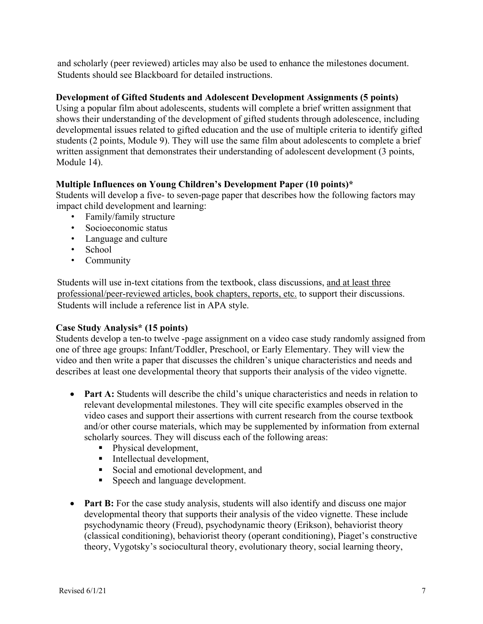and scholarly (peer reviewed) articles may also be used to enhance the milestones document. Students should see Blackboard for detailed instructions.

#### **Development of Gifted Students and Adolescent Development Assignments (5 points)**

Using a popular film about adolescents, students will complete a brief written assignment that shows their understanding of the development of gifted students through adolescence, including developmental issues related to gifted education and the use of multiple criteria to identify gifted students (2 points, Module 9). They will use the same film about adolescents to complete a brief written assignment that demonstrates their understanding of adolescent development (3 points, Module 14).

#### **Multiple Influences on Young Children's Development Paper (10 points)\***

Students will develop a five- to seven-page paper that describes how the following factors may impact child development and learning:

- Family/family structure
- Socioeconomic status
- Language and culture
- School
- Community

Students will use in-text citations from the textbook, class discussions, and at least three professional/peer-reviewed articles, book chapters, reports, etc. to support their discussions. Students will include a reference list in APA style.

#### **Case Study Analysis\* (15 points)**

Students develop a ten-to twelve -page assignment on a video case study randomly assigned from one of three age groups: Infant/Toddler, Preschool, or Early Elementary. They will view the video and then write a paper that discusses the children's unique characteristics and needs and describes at least one developmental theory that supports their analysis of the video vignette.

- **Part A:** Students will describe the child's unique characteristics and needs in relation to relevant developmental milestones. They will cite specific examples observed in the video cases and support their assertions with current research from the course textbook and/or other course materials, which may be supplemented by information from external scholarly sources. They will discuss each of the following areas:
	- Physical development,
	- Intellectual development,
	- Social and emotional development, and
	- Speech and language development.
- **Part B:** For the case study analysis, students will also identify and discuss one major developmental theory that supports their analysis of the video vignette. These include psychodynamic theory (Freud), psychodynamic theory (Erikson), behaviorist theory (classical conditioning), behaviorist theory (operant conditioning), Piaget's constructive theory, Vygotsky's sociocultural theory, evolutionary theory, social learning theory,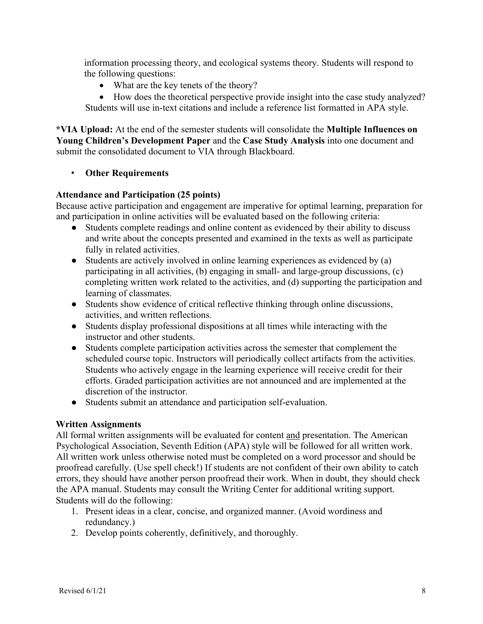information processing theory, and ecological systems theory. Students will respond to the following questions:

• What are the key tenets of the theory?

• How does the theoretical perspective provide insight into the case study analyzed? Students will use in-text citations and include a reference list formatted in APA style.

**\*VIA Upload:** At the end of the semester students will consolidate the **Multiple Influences on Young Children's Development Paper** and the **Case Study Analysis** into one document and submit the consolidated document to VIA through Blackboard.

#### • **Other Requirements**

#### **Attendance and Participation (25 points)**

Because active participation and engagement are imperative for optimal learning, preparation for and participation in online activities will be evaluated based on the following criteria:

- Students complete readings and online content as evidenced by their ability to discuss and write about the concepts presented and examined in the texts as well as participate fully in related activities.
- Students are actively involved in online learning experiences as evidenced by (a) participating in all activities, (b) engaging in small- and large-group discussions, (c) completing written work related to the activities, and (d) supporting the participation and learning of classmates.
- Students show evidence of critical reflective thinking through online discussions, activities, and written reflections.
- Students display professional dispositions at all times while interacting with the instructor and other students.
- Students complete participation activities across the semester that complement the scheduled course topic. Instructors will periodically collect artifacts from the activities. Students who actively engage in the learning experience will receive credit for their efforts. Graded participation activities are not announced and are implemented at the discretion of the instructor.
- Students submit an attendance and participation self-evaluation.

#### **Written Assignments**

All formal written assignments will be evaluated for content and presentation. The American Psychological Association, Seventh Edition (APA) style will be followed for all written work. All written work unless otherwise noted must be completed on a word processor and should be proofread carefully. (Use spell check!) If students are not confident of their own ability to catch errors, they should have another person proofread their work. When in doubt, they should check the APA manual. Students may consult the Writing Center for additional writing support. Students will do the following:

- 1. Present ideas in a clear, concise, and organized manner. (Avoid wordiness and redundancy.)
- 2. Develop points coherently, definitively, and thoroughly.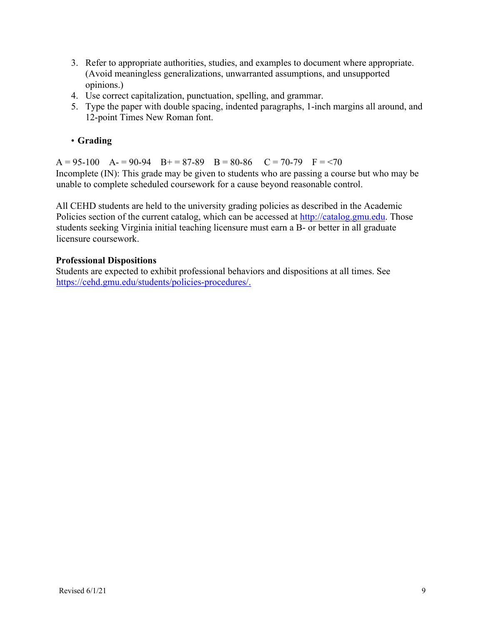- 3. Refer to appropriate authorities, studies, and examples to document where appropriate. (Avoid meaningless generalizations, unwarranted assumptions, and unsupported opinions.)
- 4. Use correct capitalization, punctuation, spelling, and grammar.
- 5. Type the paper with double spacing, indented paragraphs, 1-inch margins all around, and 12-point Times New Roman font.

# • **Grading**

 $A = 95-100$   $A = 90-94$   $B = 87-89$   $B = 80-86$   $C = 70-79$   $F = 70$ Incomplete (IN): This grade may be given to students who are passing a course but who may be unable to complete scheduled coursework for a cause beyond reasonable control.

All CEHD students are held to the university grading policies as described in the Academic Policies section of the current catalog, which can be accessed at http://catalog.gmu.edu. Those students seeking Virginia initial teaching licensure must earn a B- or better in all graduate licensure coursework.

# **Professional Dispositions**

Students are expected to exhibit professional behaviors and dispositions at all times. See https://cehd.gmu.edu/students/policies-procedures/.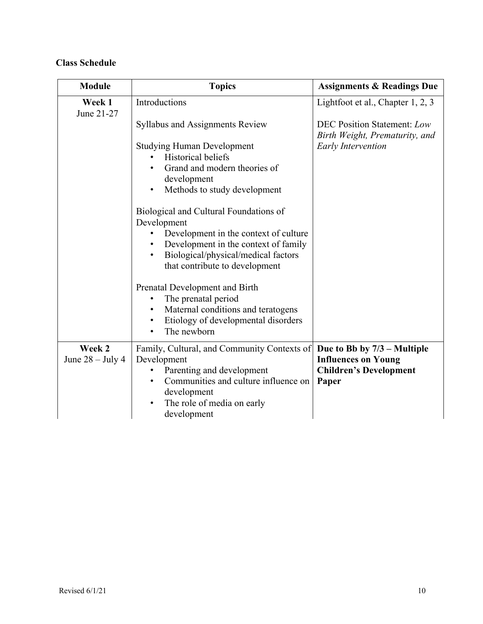# **Class Schedule**

| <b>Module</b>        | <b>Topics</b>                                                                                                                                                                                                                                                                                                                                                                                                                                                                                                                                                                                                                         | <b>Assignments &amp; Readings Due</b>                                                             |
|----------------------|---------------------------------------------------------------------------------------------------------------------------------------------------------------------------------------------------------------------------------------------------------------------------------------------------------------------------------------------------------------------------------------------------------------------------------------------------------------------------------------------------------------------------------------------------------------------------------------------------------------------------------------|---------------------------------------------------------------------------------------------------|
| Week 1<br>June 21-27 | Introductions                                                                                                                                                                                                                                                                                                                                                                                                                                                                                                                                                                                                                         | Lightfoot et al., Chapter 1, 2, 3                                                                 |
|                      | <b>Syllabus and Assignments Review</b><br><b>Studying Human Development</b><br><b>Historical beliefs</b><br>Grand and modern theories of<br>development<br>Methods to study development<br>$\bullet$<br>Biological and Cultural Foundations of<br>Development<br>Development in the context of culture<br>Development in the context of family<br>$\bullet$<br>Biological/physical/medical factors<br>that contribute to development<br>Prenatal Development and Birth<br>The prenatal period<br>٠<br>Maternal conditions and teratogens<br>$\bullet$<br>Etiology of developmental disorders<br>$\bullet$<br>The newborn<br>$\bullet$ | <b>DEC Position Statement: Low</b><br>Birth Weight, Prematurity, and<br><b>Early Intervention</b> |
| Week 2               | Family, Cultural, and Community Contexts of                                                                                                                                                                                                                                                                                                                                                                                                                                                                                                                                                                                           | Due to Bb by $7/3$ – Multiple                                                                     |
| June $28 -$ July 4   | Development<br>Parenting and development<br>Communities and culture influence on<br>$\bullet$<br>development<br>The role of media on early<br>development                                                                                                                                                                                                                                                                                                                                                                                                                                                                             | <b>Influences on Young</b><br><b>Children's Development</b><br>Paper                              |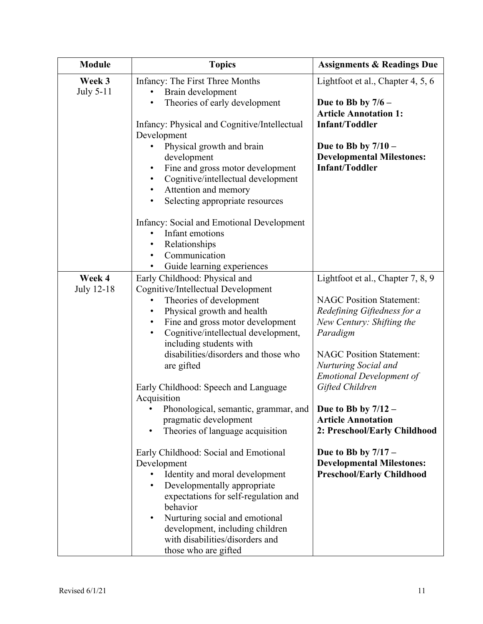| <b>Module</b>       | <b>Topics</b>                                                                                                                                                                                                                                                                                                                                    | <b>Assignments &amp; Readings Due</b>                                                                         |
|---------------------|--------------------------------------------------------------------------------------------------------------------------------------------------------------------------------------------------------------------------------------------------------------------------------------------------------------------------------------------------|---------------------------------------------------------------------------------------------------------------|
| Week 3<br>July 5-11 | Infancy: The First Three Months<br>Brain development<br>Theories of early development                                                                                                                                                                                                                                                            | Lightfoot et al., Chapter 4, 5, 6<br>Due to Bb by $7/6$ –<br><b>Article Annotation 1:</b>                     |
|                     | Infancy: Physical and Cognitive/Intellectual<br>Development                                                                                                                                                                                                                                                                                      | <b>Infant/Toddler</b>                                                                                         |
|                     | Physical growth and brain<br>development<br>Fine and gross motor development<br>Cognitive/intellectual development<br>Attention and memory<br>$\bullet$<br>Selecting appropriate resources<br>$\bullet$                                                                                                                                          | Due to Bb by $7/10 -$<br><b>Developmental Milestones:</b><br><b>Infant/Toddler</b>                            |
|                     | Infancy: Social and Emotional Development<br>Infant emotions<br>Relationships<br>Communication<br>$\bullet$<br>Guide learning experiences<br>$\bullet$                                                                                                                                                                                           |                                                                                                               |
| Week 4              | Early Childhood: Physical and                                                                                                                                                                                                                                                                                                                    | Lightfoot et al., Chapter 7, 8, 9                                                                             |
| July 12-18          | Cognitive/Intellectual Development<br>Theories of development<br>Physical growth and health<br>Fine and gross motor development<br>$\bullet$<br>Cognitive/intellectual development,<br>$\bullet$<br>including students with                                                                                                                      | <b>NAGC Position Statement:</b><br>Redefining Giftedness for a<br>New Century: Shifting the<br>Paradigm       |
|                     | disabilities/disorders and those who<br>are gifted<br>Early Childhood: Speech and Language                                                                                                                                                                                                                                                       | <b>NAGC Position Statement:</b><br>Nurturing Social and<br><b>Emotional Development of</b><br>Gifted Children |
|                     | Acquisition<br>Phonological, semantic, grammar, and   Due to Bb by 7/12<br>pragmatic development<br>Theories of language acquisition                                                                                                                                                                                                             | <b>Article Annotation</b><br>2: Preschool/Early Childhood                                                     |
|                     | Early Childhood: Social and Emotional<br>Development<br>Identity and moral development<br>$\bullet$<br>Developmentally appropriate<br>$\bullet$<br>expectations for self-regulation and<br>behavior<br>Nurturing social and emotional<br>$\bullet$<br>development, including children<br>with disabilities/disorders and<br>those who are gifted | Due to Bb by $7/17 -$<br><b>Developmental Milestones:</b><br><b>Preschool/Early Childhood</b>                 |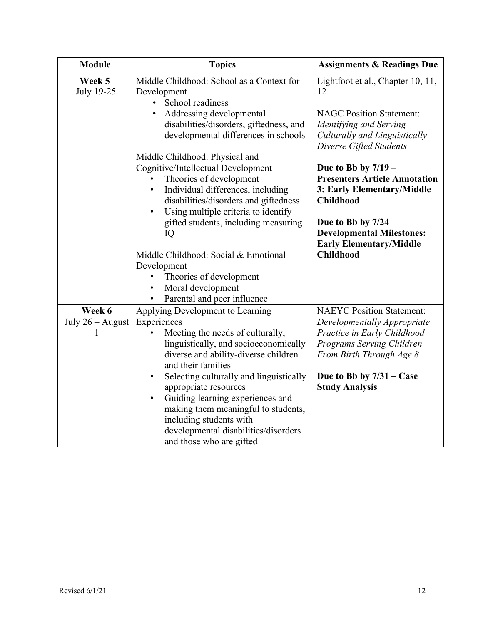| <b>Module</b>                | <b>Topics</b>                                                                                                                                                                                                                                                                                                                                                       | <b>Assignments &amp; Readings Due</b>                                                                                                                                                                          |
|------------------------------|---------------------------------------------------------------------------------------------------------------------------------------------------------------------------------------------------------------------------------------------------------------------------------------------------------------------------------------------------------------------|----------------------------------------------------------------------------------------------------------------------------------------------------------------------------------------------------------------|
| Week 5<br>July 19-25         | Middle Childhood: School as a Context for<br>Development<br>School readiness                                                                                                                                                                                                                                                                                        | Lightfoot et al., Chapter 10, 11,<br>12                                                                                                                                                                        |
|                              | Addressing developmental<br>disabilities/disorders, giftedness, and<br>developmental differences in schools                                                                                                                                                                                                                                                         | <b>NAGC Position Statement:</b><br>Identifying and Serving<br>Culturally and Linguistically<br>Diverse Gifted Students                                                                                         |
|                              | Middle Childhood: Physical and<br>Cognitive/Intellectual Development<br>Theories of development<br>Individual differences, including<br>$\bullet$<br>disabilities/disorders and giftedness<br>Using multiple criteria to identify<br>$\bullet$<br>gifted students, including measuring                                                                              | Due to Bb by $7/19$ –<br><b>Presenters Article Annotation</b><br>3: Early Elementary/Middle<br><b>Childhood</b><br>Due to Bb by $7/24$ –                                                                       |
|                              | IQ<br>Middle Childhood: Social & Emotional<br>Development<br>Theories of development<br>Moral development<br>$\bullet$<br>Parental and peer influence<br>$\bullet$                                                                                                                                                                                                  | <b>Developmental Milestones:</b><br><b>Early Elementary/Middle</b><br><b>Childhood</b>                                                                                                                         |
| Week 6<br>July $26 -$ August | Applying Development to Learning<br>Experiences<br>Meeting the needs of culturally,<br>linguistically, and socioeconomically<br>diverse and ability-diverse children<br>and their families<br>Selecting culturally and linguistically<br>$\bullet$<br>appropriate resources<br>Guiding learning experiences and<br>$\bullet$<br>making them meaningful to students, | <b>NAEYC Position Statement:</b><br>Developmentally Appropriate<br>Practice in Early Childhood<br>Programs Serving Children<br>From Birth Through Age 8<br>Due to Bb by $7/31 - Case$<br><b>Study Analysis</b> |
|                              | including students with<br>developmental disabilities/disorders<br>and those who are gifted                                                                                                                                                                                                                                                                         |                                                                                                                                                                                                                |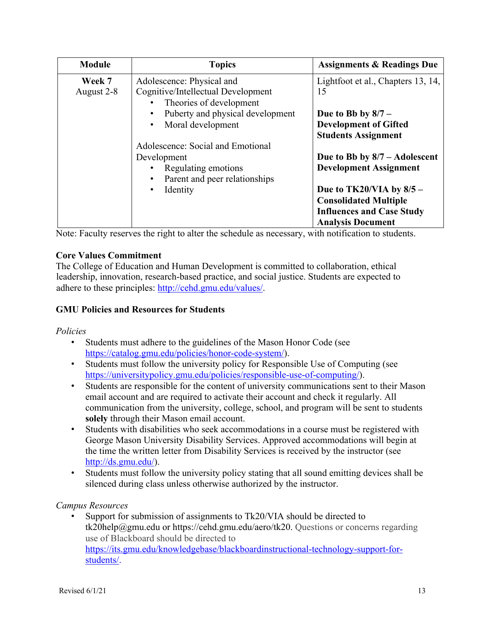| <b>Module</b> | <b>Topics</b>                                                              | <b>Assignments &amp; Readings Due</b>                      |
|---------------|----------------------------------------------------------------------------|------------------------------------------------------------|
| Week 7        | Adolescence: Physical and                                                  | Lightfoot et al., Chapters 13, 14,                         |
| August 2-8    | Cognitive/Intellectual Development<br>Theories of development<br>$\bullet$ | 15                                                         |
|               | Puberty and physical development                                           | Due to Bb by $8/7$ –                                       |
|               | Moral development<br>$\bullet$                                             | <b>Development of Gifted</b><br><b>Students Assignment</b> |
|               | Adolescence: Social and Emotional                                          |                                                            |
|               | Development                                                                | Due to Bb by $8/7$ – Adolescent                            |
|               | Regulating emotions                                                        | <b>Development Assignment</b>                              |
|               | Parent and peer relationships                                              |                                                            |
|               | Identity<br>$\bullet$                                                      | Due to TK20/VIA by 8/5 -                                   |
|               |                                                                            | <b>Consolidated Multiple</b>                               |
|               |                                                                            | <b>Influences and Case Study</b>                           |
|               |                                                                            | <b>Analysis Document</b>                                   |

Note: Faculty reserves the right to alter the schedule as necessary, with notification to students.

# **Core Values Commitment**

The College of Education and Human Development is committed to collaboration, ethical leadership, innovation, research-based practice, and social justice. Students are expected to adhere to these principles: http://cehd.gmu.edu/values/.

# **GMU Policies and Resources for Students**

*Policies* 

- Students must adhere to the guidelines of the Mason Honor Code (see https://catalog.gmu.edu/policies/honor-code-system/).
- Students must follow the university policy for Responsible Use of Computing (see https://universitypolicy.gmu.edu/policies/responsible-use-of-computing/).
- Students are responsible for the content of university communications sent to their Mason email account and are required to activate their account and check it regularly. All communication from the university, college, school, and program will be sent to students **solely** through their Mason email account.
- Students with disabilities who seek accommodations in a course must be registered with George Mason University Disability Services. Approved accommodations will begin at the time the written letter from Disability Services is received by the instructor (see http://ds.gmu.edu/).
- Students must follow the university policy stating that all sound emitting devices shall be silenced during class unless otherwise authorized by the instructor.

# *Campus Resources*

Support for submission of assignments to Tk20/VIA should be directed to tk20help@gmu.edu or https://cehd.gmu.edu/aero/tk20. Questions or concerns regarding use of Blackboard should be directed to https://its.gmu.edu/knowledgebase/blackboardinstructional-technology-support-forstudents/.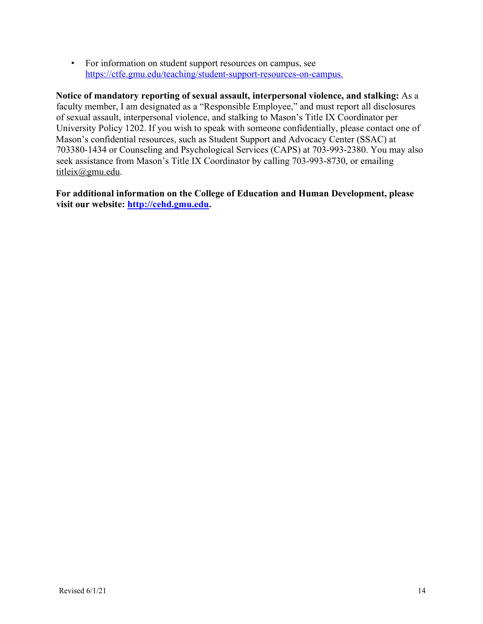• For information on student support resources on campus, see https://ctfe.gmu.edu/teaching/student-support-resources-on-campus.

**Notice of mandatory reporting of sexual assault, interpersonal violence, and stalking:** As a faculty member, I am designated as a "Responsible Employee," and must report all disclosures of sexual assault, interpersonal violence, and stalking to Mason's Title IX Coordinator per University Policy 1202. If you wish to speak with someone confidentially, please contact one of Mason's confidential resources, such as Student Support and Advocacy Center (SSAC) at 703380-1434 or Counseling and Psychological Services (CAPS) at 703-993-2380. You may also seek assistance from Mason's Title IX Coordinator by calling 703-993-8730, or emailing titleix@gmu.edu.

**For additional information on the College of Education and Human Development, please visit our website: http://cehd.gmu.edu.**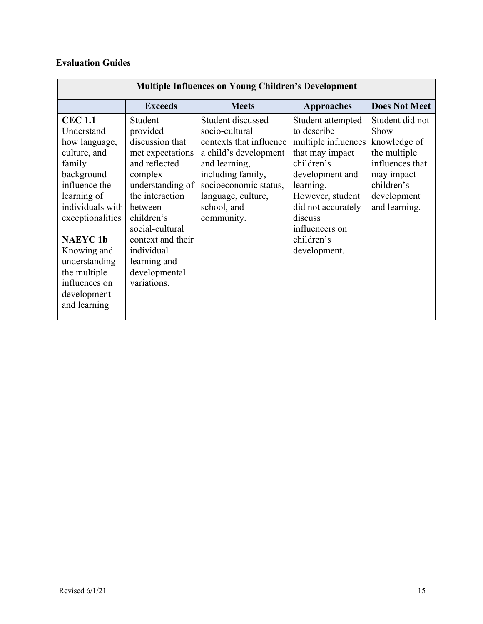# **Evaluation Guides**

| <b>Multiple Influences on Young Children's Development</b> |                   |                         |                     |                      |
|------------------------------------------------------------|-------------------|-------------------------|---------------------|----------------------|
|                                                            | <b>Exceeds</b>    | <b>Meets</b>            | Approaches          | <b>Does Not Meet</b> |
| <b>CEC 1.1</b>                                             | Student           | Student discussed       | Student attempted   | Student did not      |
| Understand                                                 | provided          | socio-cultural          | to describe         | Show                 |
| how language,                                              | discussion that   | contexts that influence | multiple influences | knowledge of         |
| culture, and                                               | met expectations  | a child's development   | that may impact     | the multiple         |
| family                                                     | and reflected     | and learning,           | children's          | influences that      |
| background                                                 | complex           | including family,       | development and     | may impact           |
| influence the                                              | understanding of  | socioeconomic status,   | learning.           | children's           |
| learning of                                                | the interaction   | language, culture,      | However, student    | development          |
| individuals with                                           | between           | school, and             | did not accurately  | and learning.        |
| exceptionalities                                           | children's        | community.              | discuss             |                      |
|                                                            | social-cultural   |                         | influencers on      |                      |
| <b>NAEYC1b</b>                                             | context and their |                         | children's          |                      |
| Knowing and                                                | individual        |                         | development.        |                      |
| understanding                                              | learning and      |                         |                     |                      |
| the multiple                                               | developmental     |                         |                     |                      |
| influences on                                              | variations.       |                         |                     |                      |
| development                                                |                   |                         |                     |                      |
| and learning                                               |                   |                         |                     |                      |
|                                                            |                   |                         |                     |                      |